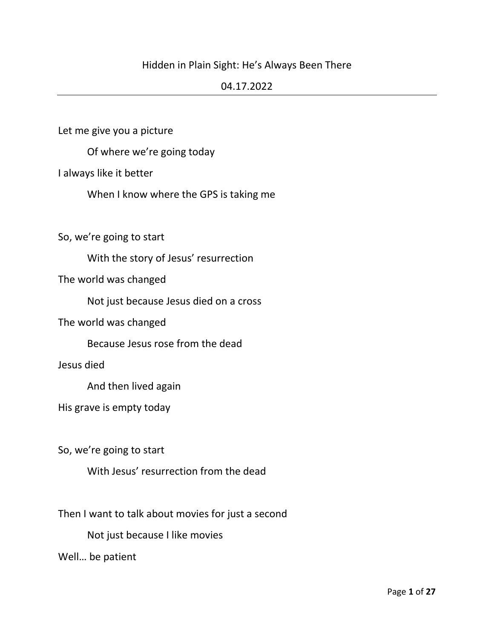# Hidden in Plain Sight: He's Always Been There

## 04.17.2022

Let me give you a picture

Of where we're going today

I always like it better

When I know where the GPS is taking me

So, we're going to start

With the story of Jesus' resurrection

The world was changed

Not just because Jesus died on a cross

The world was changed

Because Jesus rose from the dead

Jesus died

And then lived again

His grave is empty today

So, we're going to start

With Jesus' resurrection from the dead

Then I want to talk about movies for just a second

Not just because I like movies

Well… be patient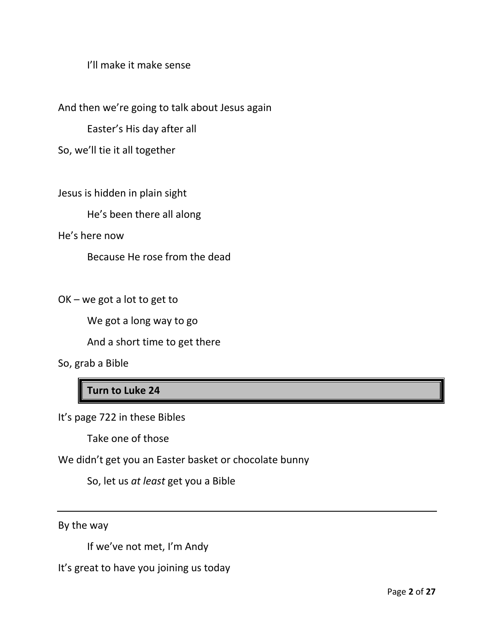I'll make it make sense

And then we're going to talk about Jesus again

Easter's His day after all

So, we'll tie it all together

Jesus is hidden in plain sight

He's been there all along

He's here now

Because He rose from the dead

OK – we got a lot to get to

We got a long way to go

And a short time to get there

So, grab a Bible

**Turn to Luke 24**

It's page 722 in these Bibles

Take one of those

We didn't get you an Easter basket or chocolate bunny

So, let us *at least* get you a Bible

By the way

If we've not met, I'm Andy

It's great to have you joining us today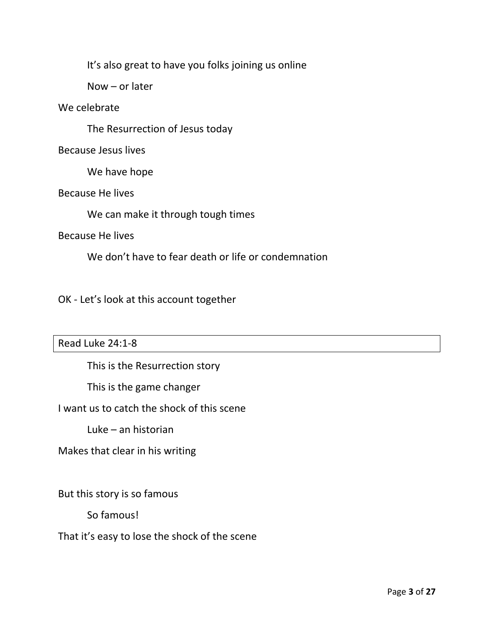It's also great to have you folks joining us online

Now – or later

# We celebrate

The Resurrection of Jesus today

## Because Jesus lives

We have hope

## Because He lives

We can make it through tough times

#### Because He lives

We don't have to fear death or life or condemnation

# OK - Let's look at this account together

## Read Luke 24:1-8

This is the Resurrection story

This is the game changer

# I want us to catch the shock of this scene

Luke – an historian

Makes that clear in his writing

But this story is so famous

So famous!

# That it's easy to lose the shock of the scene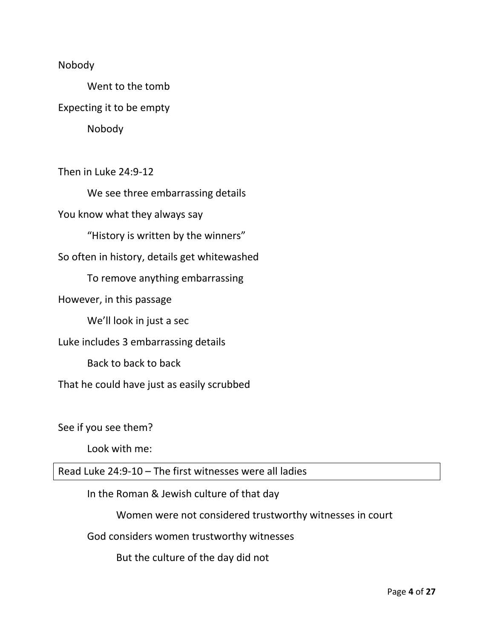### Nobody

Went to the tomb Expecting it to be empty Nobody

Then in Luke 24:9-12

We see three embarrassing details You know what they always say "History is written by the winners" So often in history, details get whitewashed To remove anything embarrassing However, in this passage We'll look in just a sec Luke includes 3 embarrassing details Back to back to back That he could have just as easily scrubbed

See if you see them?

Look with me:

Read Luke 24:9-10 – The first witnesses were all ladies

In the Roman & Jewish culture of that day

Women were not considered trustworthy witnesses in court

God considers women trustworthy witnesses

But the culture of the day did not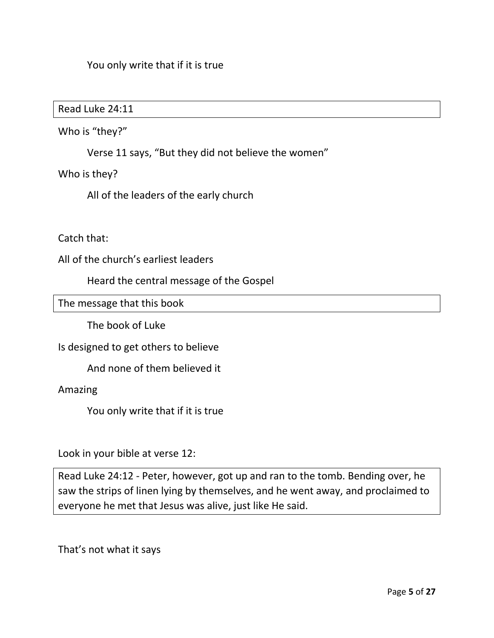# You only write that if it is true

Read Luke 24:11

Who is "they?"

Verse 11 says, "But they did not believe the women"

Who is they?

All of the leaders of the early church

## Catch that:

All of the church's earliest leaders

Heard the central message of the Gospel

The message that this book

The book of Luke

Is designed to get others to believe

And none of them believed it

Amazing

You only write that if it is true

Look in your bible at verse 12:

Read Luke 24:12 - Peter, however, got up and ran to the tomb. Bending over, he saw the strips of linen lying by themselves, and he went away, and proclaimed to everyone he met that Jesus was alive, just like He said.

That's not what it says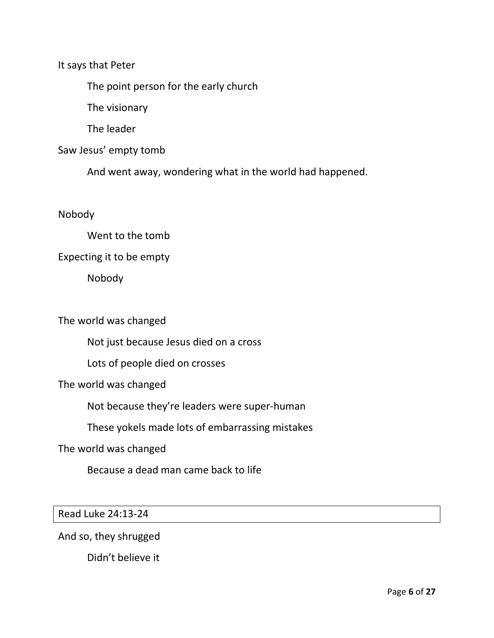It says that Peter

The point person for the early church

The visionary

The leader

Saw Jesus' empty tomb

And went away, wondering what in the world had happened.

Nobody

Went to the tomb

Expecting it to be empty

Nobody

The world was changed

Not just because Jesus died on a cross

Lots of people died on crosses

The world was changed

Not because they're leaders were super-human

These yokels made lots of embarrassing mistakes

The world was changed

Because a dead man came back to life

Read Luke 24:13-24

And so, they shrugged

Didn't believe it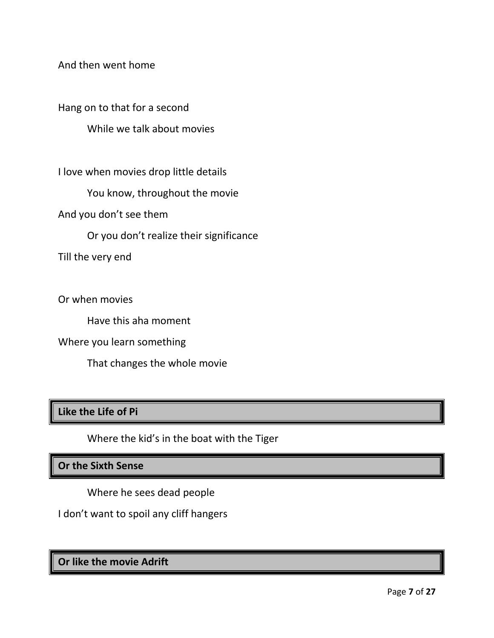And then went home

Hang on to that for a second

While we talk about movies

I love when movies drop little details

You know, throughout the movie

And you don't see them

Or you don't realize their significance

Till the very end

Or when movies

Have this aha moment

Where you learn something

That changes the whole movie

# **Like the Life of Pi**

Where the kid's in the boat with the Tiger

# **Or the Sixth Sense**

Where he sees dead people

I don't want to spoil any cliff hangers

**Or like the movie Adrift**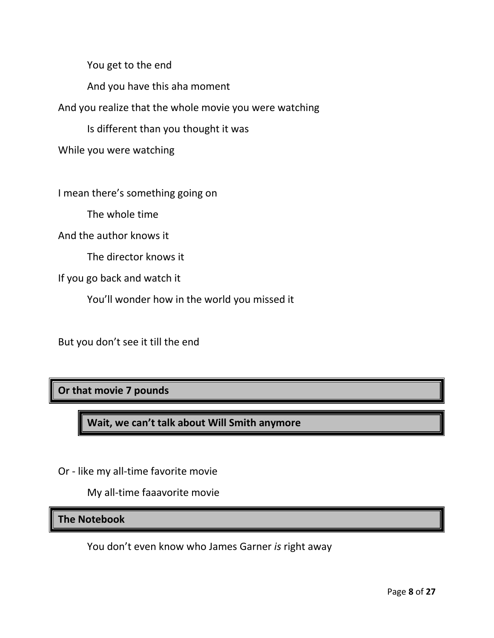You get to the end

And you have this aha moment

And you realize that the whole movie you were watching

Is different than you thought it was

While you were watching

I mean there's something going on

The whole time

And the author knows it

The director knows it

If you go back and watch it

You'll wonder how in the world you missed it

But you don't see it till the end

**Or that movie 7 pounds**

**Wait, we can't talk about Will Smith anymore**

Or - like my all-time favorite movie

My all-time faaavorite movie

**The Notebook**

You don't even know who James Garner *is* right away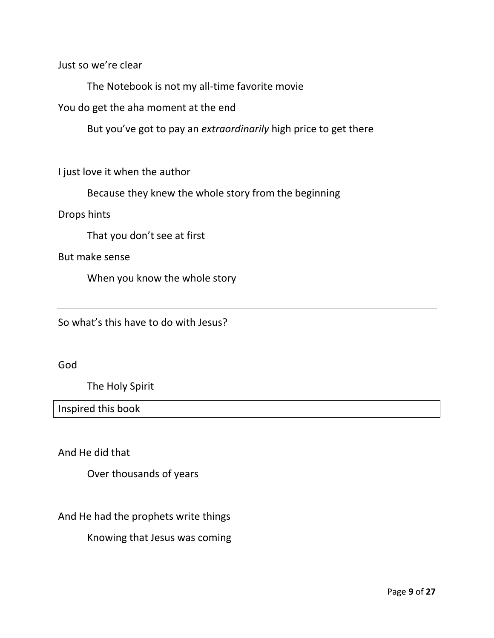Just so we're clear

The Notebook is not my all-time favorite movie

You do get the aha moment at the end

But you've got to pay an *extraordinarily* high price to get there

I just love it when the author

Because they knew the whole story from the beginning

Drops hints

That you don't see at first

But make sense

When you know the whole story

So what's this have to do with Jesus?

God

The Holy Spirit

Inspired this book

And He did that

Over thousands of years

And He had the prophets write things

Knowing that Jesus was coming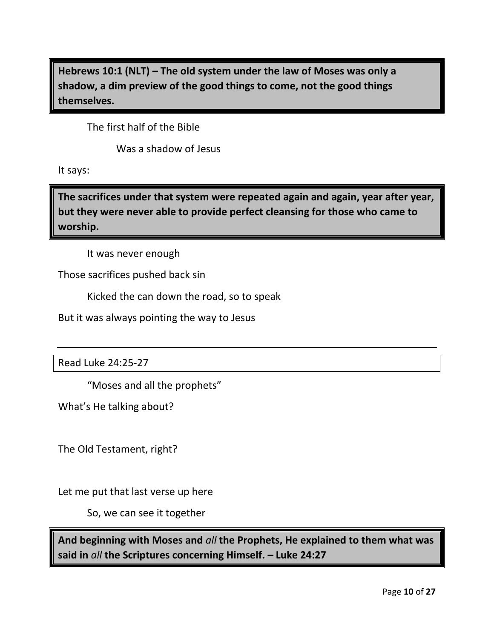**Hebrews 10:1 (NLT) – The old system under the law of Moses was only a shadow, a dim preview of the good things to come, not the good things themselves.** 

The first half of the Bible

Was a shadow of Jesus

It says:

**The sacrifices under that system were repeated again and again, year after year, but they were never able to provide perfect cleansing for those who came to worship.**

It was never enough

Those sacrifices pushed back sin

Kicked the can down the road, so to speak

But it was always pointing the way to Jesus

Read Luke 24:25-27

"Moses and all the prophets"

What's He talking about?

The Old Testament, right?

Let me put that last verse up here

So, we can see it together

**And beginning with Moses and** *all* **the Prophets, He explained to them what was said in** *all* **the Scriptures concerning Himself. – Luke 24:27**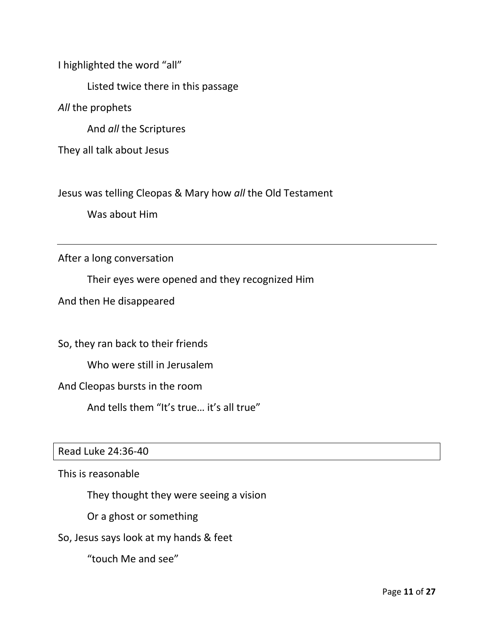I highlighted the word "all"

Listed twice there in this passage

*All* the prophets

And *all* the Scriptures

They all talk about Jesus

Jesus was telling Cleopas & Mary how *all* the Old Testament

Was about Him

After a long conversation

Their eyes were opened and they recognized Him

And then He disappeared

So, they ran back to their friends

Who were still in Jerusalem

And Cleopas bursts in the room

And tells them "It's true… it's all true"

#### Read Luke 24:36-40

This is reasonable

They thought they were seeing a vision

Or a ghost or something

So, Jesus says look at my hands & feet

"touch Me and see"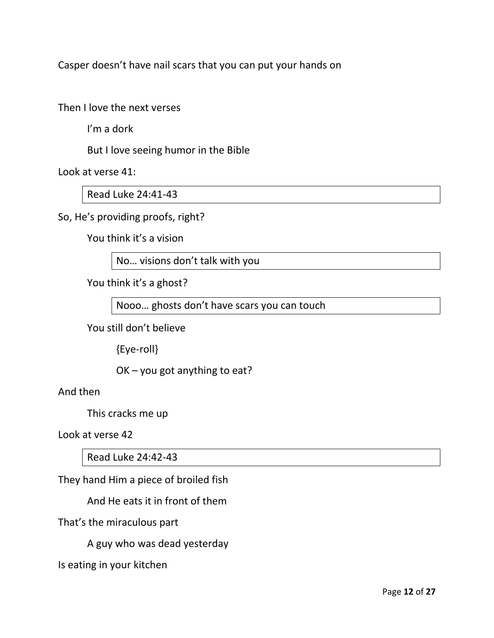Casper doesn't have nail scars that you can put your hands on

Then I love the next verses

I'm a dork

But I love seeing humor in the Bible

Look at verse 41:

Read Luke 24:41-43

So, He's providing proofs, right?

You think it's a vision

No… visions don't talk with you

You think it's a ghost?

Nooo… ghosts don't have scars you can touch

You still don't believe

{Eye-roll}

OK – you got anything to eat?

And then

This cracks me up

Look at verse 42

Read Luke 24:42-43

They hand Him a piece of broiled fish

And He eats it in front of them

That's the miraculous part

A guy who was dead yesterday

Is eating in your kitchen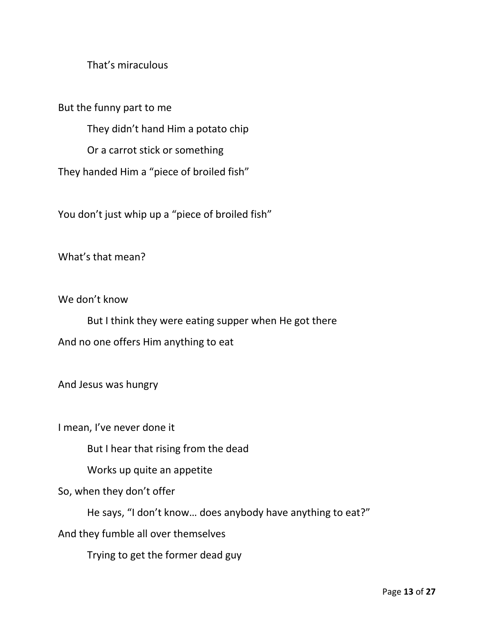# That's miraculous

But the funny part to me

They didn't hand Him a potato chip

Or a carrot stick or something

They handed Him a "piece of broiled fish"

You don't just whip up a "piece of broiled fish"

What's that mean?

We don't know

But I think they were eating supper when He got there And no one offers Him anything to eat

And Jesus was hungry

I mean, I've never done it

But I hear that rising from the dead

Works up quite an appetite

So, when they don't offer

He says, "I don't know… does anybody have anything to eat?"

And they fumble all over themselves

Trying to get the former dead guy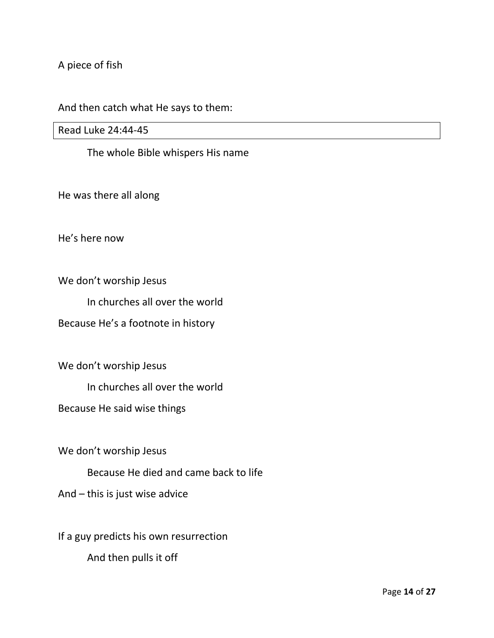A piece of fish

# And then catch what He says to them:

Read Luke 24:44-45

The whole Bible whispers His name

He was there all along

He's here now

We don't worship Jesus

In churches all over the world

Because He's a footnote in history

We don't worship Jesus

In churches all over the world

Because He said wise things

We don't worship Jesus

Because He died and came back to life

And – this is just wise advice

If a guy predicts his own resurrection And then pulls it off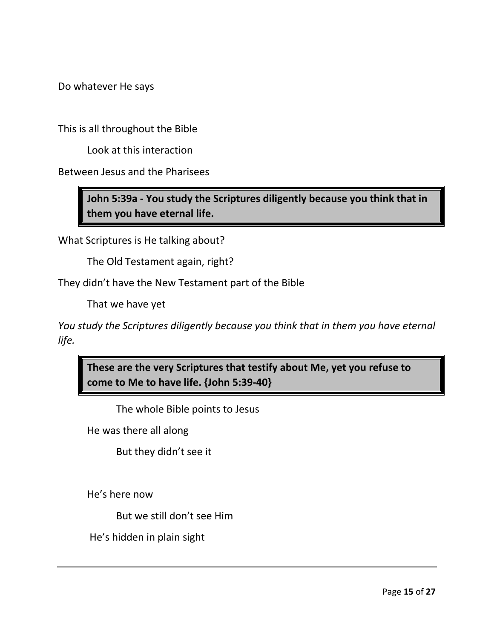Do whatever He says

This is all throughout the Bible

Look at this interaction

Between Jesus and the Pharisees

**John 5:39a - You study the Scriptures diligently because you think that in them you have eternal life.**

What Scriptures is He talking about?

The Old Testament again, right?

They didn't have the New Testament part of the Bible

That we have yet

*You study the Scriptures diligently because you think that in them you have eternal life.* 

**These are the very Scriptures that testify about Me, yet you refuse to come to Me to have life. {John 5:39-40}**

The whole Bible points to Jesus

He was there all along

But they didn't see it

He's here now

But we still don't see Him

He's hidden in plain sight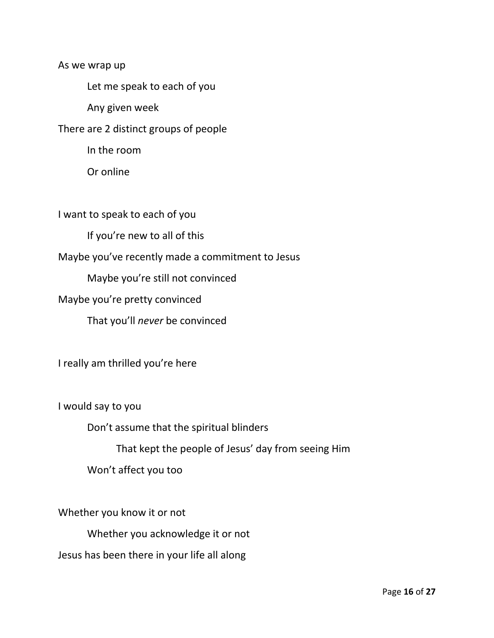As we wrap up

Let me speak to each of you

Any given week

There are 2 distinct groups of people

In the room

Or online

I want to speak to each of you

If you're new to all of this

Maybe you've recently made a commitment to Jesus

Maybe you're still not convinced

Maybe you're pretty convinced

That you'll *never* be convinced

I really am thrilled you're here

I would say to you

Don't assume that the spiritual blinders

That kept the people of Jesus' day from seeing Him

Won't affect you too

Whether you know it or not Whether you acknowledge it or not Jesus has been there in your life all along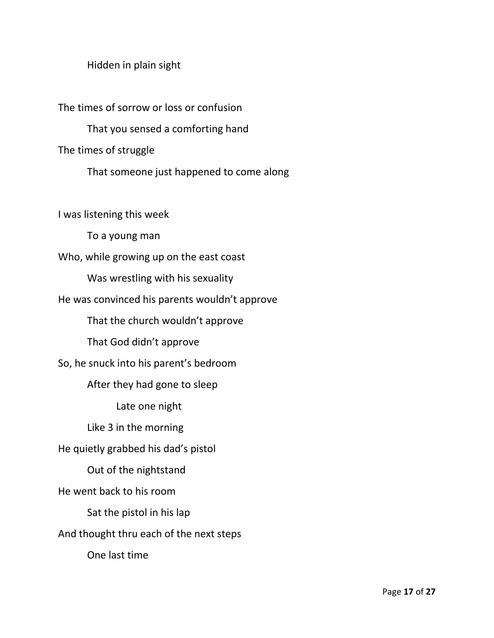Hidden in plain sight

The times of sorrow or loss or confusion That you sensed a comforting hand The times of struggle That someone just happened to come along I was listening this week To a young man Who, while growing up on the east coast Was wrestling with his sexuality He was convinced his parents wouldn't approve That the church wouldn't approve

That God didn't approve

So, he snuck into his parent's bedroom

After they had gone to sleep

Late one night

Like 3 in the morning

He quietly grabbed his dad's pistol

Out of the nightstand

He went back to his room

Sat the pistol in his lap

And thought thru each of the next steps

One last time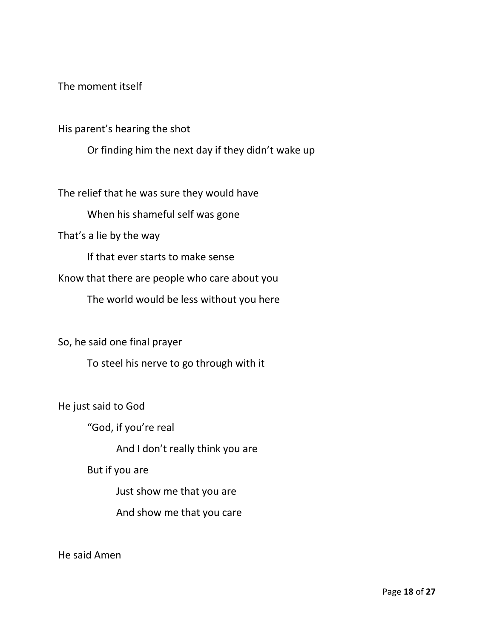The moment itself

His parent's hearing the shot

Or finding him the next day if they didn't wake up

The relief that he was sure they would have

When his shameful self was gone

That's a lie by the way

If that ever starts to make sense

Know that there are people who care about you

The world would be less without you here

So, he said one final prayer

To steel his nerve to go through with it

He just said to God

"God, if you're real

And I don't really think you are

But if you are

Just show me that you are

And show me that you care

He said Amen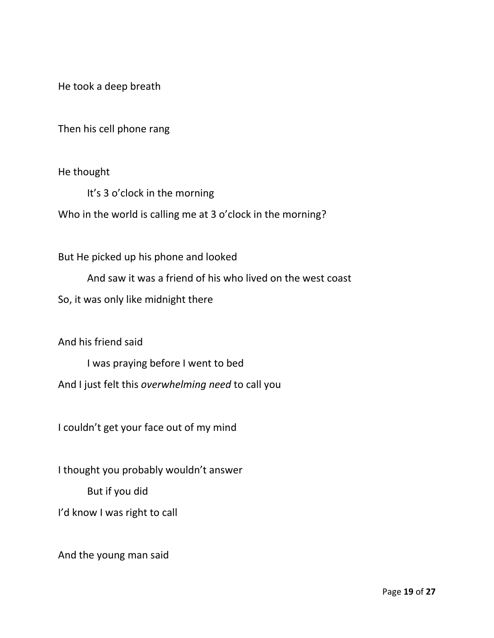He took a deep breath

Then his cell phone rang

He thought

It's 3 o'clock in the morning Who in the world is calling me at 3 o'clock in the morning?

But He picked up his phone and looked

And saw it was a friend of his who lived on the west coast

So, it was only like midnight there

And his friend said

I was praying before I went to bed

And I just felt this *overwhelming need* to call you

I couldn't get your face out of my mind

I thought you probably wouldn't answer

But if you did

I'd know I was right to call

And the young man said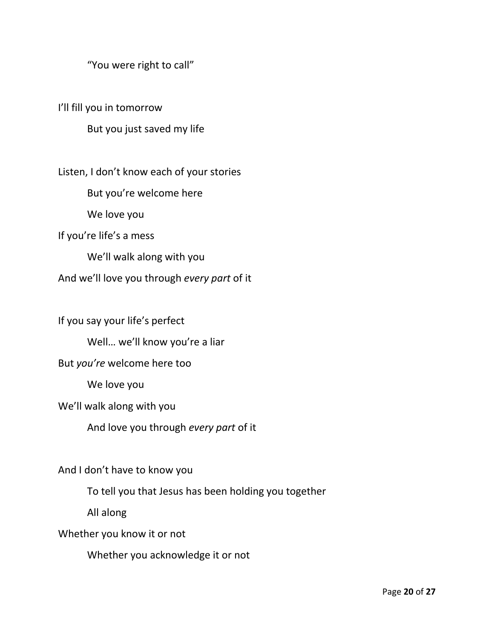"You were right to call"

I'll fill you in tomorrow

But you just saved my life

Listen, I don't know each of your stories

But you're welcome here

We love you

If you're life's a mess

We'll walk along with you

And we'll love you through *every part* of it

If you say your life's perfect

Well… we'll know you're a liar

## But *you're* welcome here too

We love you

We'll walk along with you

And love you through *every part* of it

And I don't have to know you

To tell you that Jesus has been holding you together

All along

Whether you know it or not

Whether you acknowledge it or not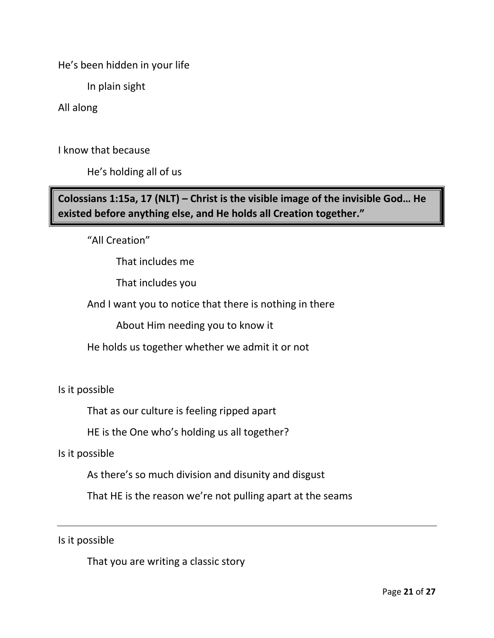He's been hidden in your life

In plain sight

All along

I know that because

He's holding all of us

**Colossians 1:15a, 17 (NLT) – Christ is the visible image of the invisible God… He existed before anything else, and He holds all Creation together."**

"All Creation"

That includes me

That includes you

And I want you to notice that there is nothing in there

About Him needing you to know it

He holds us together whether we admit it or not

Is it possible

That as our culture is feeling ripped apart

HE is the One who's holding us all together?

Is it possible

As there's so much division and disunity and disgust

That HE is the reason we're not pulling apart at the seams

Is it possible

That you are writing a classic story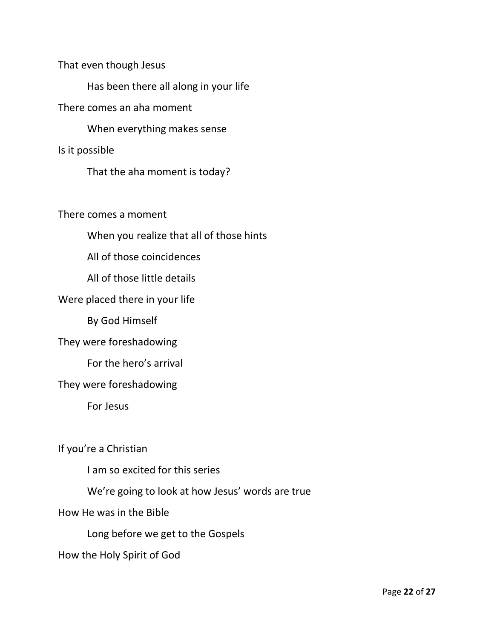That even though Jesus

Has been there all along in your life

There comes an aha moment

When everything makes sense

Is it possible

That the aha moment is today?

There comes a moment

When you realize that all of those hints

All of those coincidences

All of those little details

Were placed there in your life

By God Himself

They were foreshadowing

For the hero's arrival

They were foreshadowing

For Jesus

If you're a Christian

I am so excited for this series

We're going to look at how Jesus' words are true

How He was in the Bible

Long before we get to the Gospels

How the Holy Spirit of God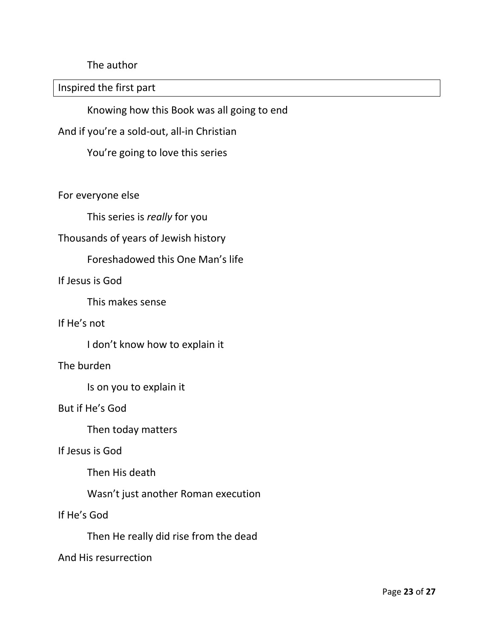The author

Inspired the first part

Knowing how this Book was all going to end

And if you're a sold-out, all-in Christian

You're going to love this series

For everyone else

This series is *really* for you

# Thousands of years of Jewish history

## Foreshadowed this One Man's life

## If Jesus is God

This makes sense

#### If He's not

I don't know how to explain it

#### The burden

Is on you to explain it

#### But if He's God

Then today matters

### If Jesus is God

Then His death

Wasn't just another Roman execution

## If He's God

Then He really did rise from the dead

#### And His resurrection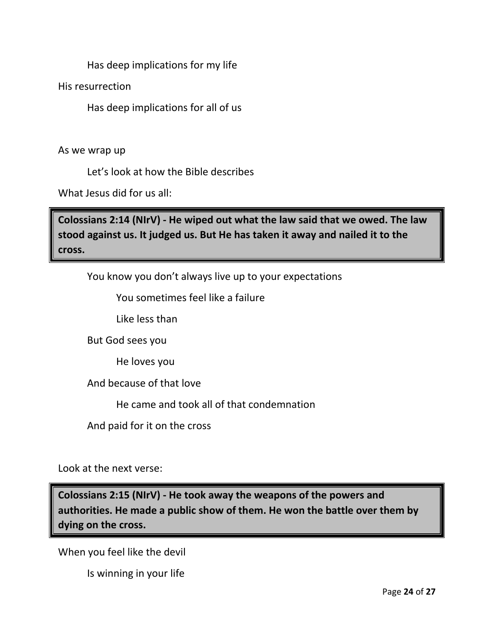Has deep implications for my life

His resurrection

Has deep implications for all of us

As we wrap up

Let's look at how the Bible describes

What Jesus did for us all:

**Colossians 2:14 (NIrV) - He wiped out what the law said that we owed. The law stood against us. It judged us. But He has taken it away and nailed it to the cross.** 

You know you don't always live up to your expectations

You sometimes feel like a failure

Like less than

But God sees you

He loves you

And because of that love

He came and took all of that condemnation

And paid for it on the cross

Look at the next verse:

**Colossians 2:15 (NIrV) - He took away the weapons of the powers and authorities. He made a public show of them. He won the battle over them by dying on the cross.**

When you feel like the devil

Is winning in your life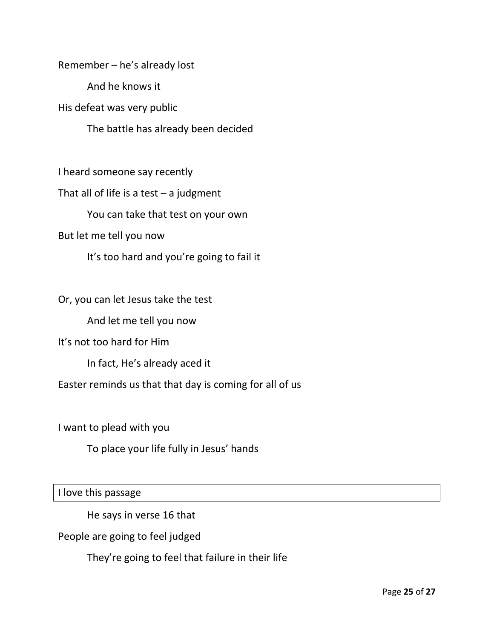Remember – he's already lost

And he knows it

His defeat was very public

The battle has already been decided

I heard someone say recently

That all of life is a test  $-$  a judgment

You can take that test on your own

But let me tell you now

It's too hard and you're going to fail it

Or, you can let Jesus take the test

And let me tell you now

It's not too hard for Him

In fact, He's already aced it

Easter reminds us that that day is coming for all of us

I want to plead with you

To place your life fully in Jesus' hands

I love this passage

He says in verse 16 that

People are going to feel judged

They're going to feel that failure in their life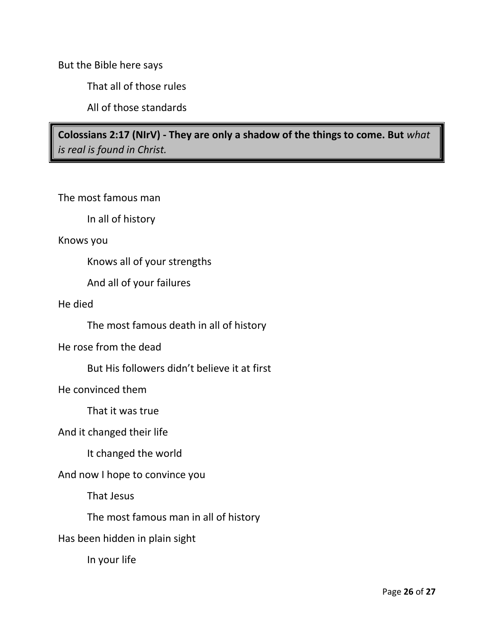But the Bible here says

That all of those rules

All of those standards

**Colossians 2:17 (NIrV) - They are only a shadow of the things to come. But** *what is real is found in Christ.*

The most famous man

In all of history

Knows you

Knows all of your strengths

And all of your failures

He died

The most famous death in all of history

He rose from the dead

But His followers didn't believe it at first

He convinced them

That it was true

And it changed their life

It changed the world

And now I hope to convince you

That Jesus

The most famous man in all of history

Has been hidden in plain sight

In your life